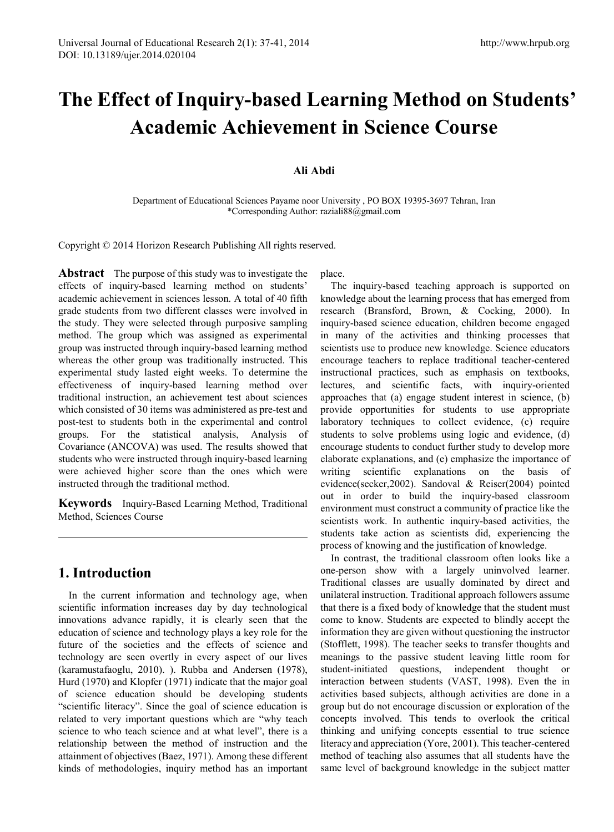# **The Effect of Inquiry-based Learning Method on Students' Academic Achievement in Science Course**

## **Ali Abdi**

Department of Educational Sciences Payame noor University , PO BOX 19395-3697 Tehran, Iran \*Corresponding Author: raziali88@gmail.com

Copyright © 2014 Horizon Research Publishing All rights reserved.

**Abstract** The purpose of this study was to investigate the effects of inquiry-based learning method on students' academic achievement in sciences lesson. A total of 40 fifth grade students from two different classes were involved in the study. They were selected through purposive sampling method. The group which was assigned as experimental group was instructed through inquiry-based learning method whereas the other group was traditionally instructed. This experimental study lasted eight weeks. To determine the effectiveness of inquiry-based learning method over traditional instruction, an achievement test about sciences which consisted of 30 items was administered as pre-test and post-test to students both in the experimental and control groups. For the statistical analysis, Analysis of Covariance (ANCOVA) was used. The results showed that students who were instructed through inquiry-based learning were achieved higher score than the ones which were instructed through the traditional method.

**Keywords** Inquiry-Based Learning Method, Traditional Method, Sciences Course

# **1. Introduction**

In the current information and technology age, when scientific information increases day by day technological innovations advance rapidly, it is clearly seen that the education of science and technology plays a key role for the future of the societies and the effects of science and technology are seen overtly in every aspect of our lives (karamustafaoglu, 2010). ). Rubba and Andersen (1978), Hurd (1970) and Klopfer (1971) indicate that the major goal of science education should be developing students "scientific literacy". Since the goal of science education is related to very important questions which are "why teach science to who teach science and at what level", there is a relationship between the method of instruction and the attainment of objectives (Baez, 1971). Among these different kinds of methodologies, inquiry method has an important

place.

The inquiry-based teaching approach is supported on knowledge about the learning process that has emerged from research (Bransford, Brown, & Cocking, 2000). In inquiry-based science education, children become engaged in many of the activities and thinking processes that scientists use to produce new knowledge. Science educators encourage teachers to replace traditional teacher-centered instructional practices, such as emphasis on textbooks, lectures, and scientific facts, with inquiry-oriented approaches that (a) engage student interest in science, (b) provide opportunities for students to use appropriate laboratory techniques to collect evidence, (c) require students to solve problems using logic and evidence, (d) encourage students to conduct further study to develop more elaborate explanations, and (e) emphasize the importance of writing scientific explanations on the basis of evidence(secker,2002). Sandoval & Reiser(2004) pointed out in order to build the inquiry-based classroom environment must construct a community of practice like the scientists work. In authentic inquiry-based activities, the students take action as scientists did, experiencing the process of knowing and the justification of knowledge.

In contrast, the traditional classroom often looks like a one-person show with a largely uninvolved learner. Traditional classes are usually dominated by direct and unilateral instruction. Traditional approach followers assume that there is a fixed body of knowledge that the student must come to know. Students are expected to blindly accept the information they are given without questioning the instructor (Stofflett, 1998). The teacher seeks to transfer thoughts and meanings to the passive student leaving little room for student-initiated questions, independent thought or interaction between students (VAST, 1998). Even the in activities based subjects, although activities are done in a group but do not encourage discussion or exploration of the concepts involved. This tends to overlook the critical thinking and unifying concepts essential to true science literacy and appreciation (Yore, 2001). This teacher-centered method of teaching also assumes that all students have the same level of background knowledge in the subject matter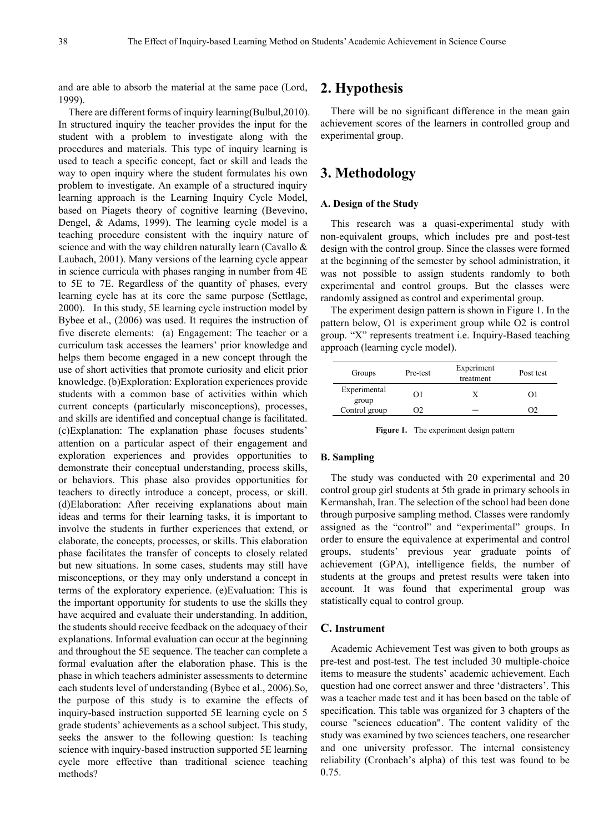and are able to absorb the material at the same pace (Lord, 1999).

There are different forms of inquiry learning(Bulbul,2010). In structured inquiry the teacher provides the input for the student with a problem to investigate along with the procedures and materials. This type of inquiry learning is used to teach a specific concept, fact or skill and leads the way to open inquiry where the student formulates his own problem to investigate. An example of a structured inquiry learning approach is the Learning Inquiry Cycle Model, based on Piagets theory of cognitive learning (Bevevino, Dengel, & Adams, 1999). The learning cycle model is a teaching procedure consistent with the inquiry nature of science and with the way children naturally learn (Cavallo & Laubach, 2001). Many versions of the learning cycle appear in science curricula with phases ranging in number from 4E to 5E to 7E. Regardless of the quantity of phases, every learning cycle has at its core the same purpose (Settlage, 2000). In this study, 5E learning cycle instruction model by Bybee et al., (2006) was used. It requires the instruction of five discrete elements: (a) Engagement: The teacher or a curriculum task accesses the learners' prior knowledge and helps them become engaged in a new concept through the use of short activities that promote curiosity and elicit prior knowledge. (b)Exploration: Exploration experiences provide students with a common base of activities within which current concepts (particularly misconceptions), processes, and skills are identified and conceptual change is facilitated. (c)Explanation: The explanation phase focuses students' attention on a particular aspect of their engagement and exploration experiences and provides opportunities to demonstrate their conceptual understanding, process skills, or behaviors. This phase also provides opportunities for teachers to directly introduce a concept, process, or skill. (d)Elaboration: After receiving explanations about main ideas and terms for their learning tasks, it is important to involve the students in further experiences that extend, or elaborate, the concepts, processes, or skills. This elaboration phase facilitates the transfer of concepts to closely related but new situations. In some cases, students may still have misconceptions, or they may only understand a concept in terms of the exploratory experience. (e)Evaluation: This is the important opportunity for students to use the skills they have acquired and evaluate their understanding. In addition, the students should receive feedback on the adequacy of their explanations. Informal evaluation can occur at the beginning and throughout the 5E sequence. The teacher can complete a formal evaluation after the elaboration phase. This is the phase in which teachers administer assessments to determine each students level of understanding (Bybee et al., 2006).So, the purpose of this study is to examine the effects of inquiry-based instruction supported 5E learning cycle on 5 grade students' achievements as a school subject. This study, seeks the answer to the following question: Is teaching science with inquiry-based instruction supported 5E learning cycle more effective than traditional science teaching methods?

# **2. Hypothesis**

There will be no significant difference in the mean gain achievement scores of the learners in controlled group and experimental group.

# **3. Methodology**

### **A. Design of the Study**

This research was a quasi-experimental study with non-equivalent groups, which includes pre and post-test design with the control group. Since the classes were formed at the beginning of the semester by school administration, it was not possible to assign students randomly to both experimental and control groups. But the classes were randomly assigned as control and experimental group.

The experiment design pattern is shown in Figure 1. In the pattern below, O1 is experiment group while O2 is control group. "X" represents treatment i.e. Inquiry-Based teaching approach (learning cycle model).

| Groups                | Pre-test | Experiment<br>treatment | Post test |  |
|-----------------------|----------|-------------------------|-----------|--|
| Experimental<br>group | O        |                         | $^{O}$    |  |
| Control group         |          |                         |           |  |

**Figure 1.** The experiment design pattern

### **B. Sampling**

The study was conducted with 20 experimental and 20 control group girl students at 5th grade in primary schools in Kermanshah, Iran. The selection of the school had been done through purposive sampling method. Classes were randomly assigned as the "control" and "experimental" groups. In order to ensure the equivalence at experimental and control groups, students' previous year graduate points of achievement (GPA), intelligence fields, the number of students at the groups and pretest results were taken into account. It was found that experimental group was statistically equal to control group.

## **C. Instrument**

Academic Achievement Test was given to both groups as pre-test and post-test. The test included 30 multiple-choice items to measure the students' academic achievement. Each question had one correct answer and three 'distracters'. This was a teacher made test and it has been based on the table of specification. This table was organized for 3 chapters of the course "sciences education". The content validity of the study was examined by two sciences teachers, one researcher and one university professor. The internal consistency reliability (Cronbach's alpha) of this test was found to be 0.75.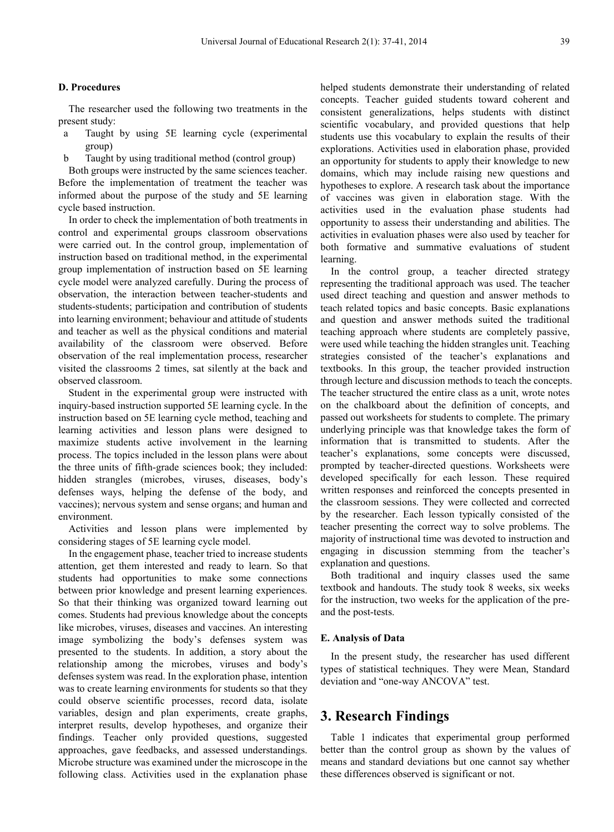#### **D. Procedures**

The researcher used the following two treatments in the present study:

- a Taught by using 5E learning cycle (experimental group)
- Taught by using traditional method (control group)

Both groups were instructed by the same sciences teacher. Before the implementation of treatment the teacher was informed about the purpose of the study and 5E learning cycle based instruction.

In order to check the implementation of both treatments in control and experimental groups classroom observations were carried out. In the control group, implementation of instruction based on traditional method, in the experimental group implementation of instruction based on 5E learning cycle model were analyzed carefully. During the process of observation, the interaction between teacher-students and students-students; participation and contribution of students into learning environment; behaviour and attitude of students and teacher as well as the physical conditions and material availability of the classroom were observed. Before observation of the real implementation process, researcher visited the classrooms 2 times, sat silently at the back and observed classroom.

Student in the experimental group were instructed with inquiry-based instruction supported 5E learning cycle. In the instruction based on 5E learning cycle method, teaching and learning activities and lesson plans were designed to maximize students active involvement in the learning process. The topics included in the lesson plans were about the three units of fifth-grade sciences book; they included: hidden strangles (microbes, viruses, diseases, body's defenses ways, helping the defense of the body, and vaccines); nervous system and sense organs; and human and environment.

Activities and lesson plans were implemented by considering stages of 5E learning cycle model.

In the engagement phase, teacher tried to increase students attention, get them interested and ready to learn. So that students had opportunities to make some connections between prior knowledge and present learning experiences. So that their thinking was organized toward learning out comes. Students had previous knowledge about the concepts like microbes, viruses, diseases and vaccines. An interesting image symbolizing the body's defenses system was presented to the students. In addition, a story about the relationship among the microbes, viruses and body's defenses system was read. In the exploration phase, intention was to create learning environments for students so that they could observe scientific processes, record data, isolate variables, design and plan experiments, create graphs, interpret results, develop hypotheses, and organize their findings. Teacher only provided questions, suggested approaches, gave feedbacks, and assessed understandings. Microbe structure was examined under the microscope in the following class. Activities used in the explanation phase

helped students demonstrate their understanding of related concepts. Teacher guided students toward coherent and consistent generalizations, helps students with distinct scientific vocabulary, and provided questions that help students use this vocabulary to explain the results of their explorations. Activities used in elaboration phase, provided an opportunity for students to apply their knowledge to new domains, which may include raising new questions and hypotheses to explore. A research task about the importance of vaccines was given in elaboration stage. With the activities used in the evaluation phase students had opportunity to assess their understanding and abilities. The activities in evaluation phases were also used by teacher for both formative and summative evaluations of student learning.

In the control group, a teacher directed strategy representing the traditional approach was used. The teacher used direct teaching and question and answer methods to teach related topics and basic concepts. Basic explanations and question and answer methods suited the traditional teaching approach where students are completely passive, were used while teaching the hidden strangles unit. Teaching strategies consisted of the teacher's explanations and textbooks. In this group, the teacher provided instruction through lecture and discussion methods to teach the concepts. The teacher structured the entire class as a unit, wrote notes on the chalkboard about the definition of concepts, and passed out worksheets for students to complete. The primary underlying principle was that knowledge takes the form of information that is transmitted to students. After the teacher's explanations, some concepts were discussed, prompted by teacher-directed questions. Worksheets were developed specifically for each lesson. These required written responses and reinforced the concepts presented in the classroom sessions. They were collected and corrected by the researcher. Each lesson typically consisted of the teacher presenting the correct way to solve problems. The majority of instructional time was devoted to instruction and engaging in discussion stemming from the teacher's explanation and questions.

Both traditional and inquiry classes used the same textbook and handouts. The study took 8 weeks, six weeks for the instruction, two weeks for the application of the preand the post-tests.

#### **E. Analysis of Data**

In the present study, the researcher has used different types of statistical techniques. They were Mean, Standard deviation and "one-way ANCOVA" test.

## **3. Research Findings**

Table 1 indicates that experimental group performed better than the control group as shown by the values of means and standard deviations but one cannot say whether these differences observed is significant or not.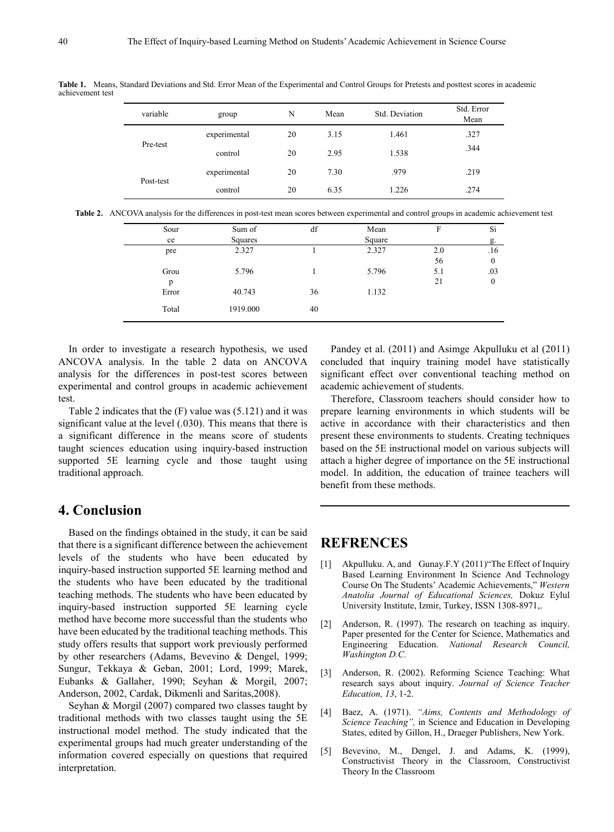variable state group N Mean Std. Deviation Std. Error Mean Pre-test experimental 20 3.15 1.461 .327 control 20 2.95 1.538 .344 Post-test experimental 20 7.30 .979 .219 control 20 6.35 1.226 .274

**Table 1.** Means, Standard Deviations and Std. Error Mean of the Experimental and Control Groups for Pretests and posttest scores in academic achievement test

|  | Table 2. ANCOVA analysis for the differences in post-test mean scores between experimental and control groups in academic achievement test |  |  |  |
|--|--------------------------------------------------------------------------------------------------------------------------------------------|--|--|--|
|  |                                                                                                                                            |  |  |  |

| Sour  | Sum of   | df | Mean   | F   | Si               |
|-------|----------|----|--------|-----|------------------|
| ce    | Squares  |    | Square |     | g.               |
| pre   | 2.327    |    | 2.327  | 2.0 | .16              |
|       |          |    |        | 56  | $\boldsymbol{0}$ |
| Grou  | 5.796    |    | 5.796  | 5.1 | .03              |
| p     |          |    |        | 21  | $\mathbf{0}$     |
| Error | 40.743   | 36 | 1.132  |     |                  |
|       |          |    |        |     |                  |
| Total | 1919.000 | 40 |        |     |                  |
|       |          |    |        |     |                  |

In order to investigate a research hypothesis, we used ANCOVA analysis. In the table 2 data on ANCOVA analysis for the differences in post-test scores between experimental and control groups in academic achievement test.

Table 2 indicates that the (F) value was (5.121) and it was significant value at the level (.030). This means that there is a significant difference in the means score of students taught sciences education using inquiry-based instruction supported 5E learning cycle and those taught using traditional approach.

# **4. Conclusion**

Based on the findings obtained in the study, it can be said that there is a significant difference between the achievement levels of the students who have been educated by inquiry-based instruction supported 5E learning method and the students who have been educated by the traditional teaching methods. The students who have been educated by inquiry-based instruction supported 5E learning cycle method have become more successful than the students who have been educated by the traditional teaching methods. This study offers results that support work previously performed by other researchers (Adams, Bevevino & Dengel, 1999; Sungur, Tekkaya & Geban, 2001; Lord, 1999; Marek, Eubanks & Gallaher, 1990; Seyhan & Morgil, 2007; Anderson, 2002, Cardak, Dikmenli and Saritas,2008).

Seyhan & Morgil (2007) compared two classes taught by traditional methods with two classes taught using the 5E instructional model method. The study indicated that the experimental groups had much greater understanding of the information covered especially on questions that required interpretation.

Pandey et al. (2011) and Asimge Akpulluku et al (2011) concluded that inquiry training model have statistically significant effect over conventional teaching method on academic achievement of students.

Therefore, Classroom teachers should consider how to prepare learning environments in which students will be active in accordance with their characteristics and then present these environments to students. Creating techniques based on the 5E instructional model on various subjects will attach a higher degree of importance on the 5E instructional model. In addition, the education of trainee teachers will benefit from these methods.

# **REFRENCES**

- [1] Akpulluku. A, and Gunay.F.Y (2011) "The Effect of Inquiry Based Learning Environment In Science And Technology Course On The Students' Academic Achievements," *Western Anatolia Journal of Educational Sciences,* Dokuz Eylul University Institute, Izmir, Turkey, ISSN 1308-8971,.
- [2] Anderson, R. (1997). The research on teaching as inquiry. Paper presented for the Center for Science, Mathematics and Engineering Education. *National Research Council, Washington D.C.*
- [3] Anderson, R. (2002). Reforming Science Teaching: What research says about inquiry. *Journal of Science Teacher Education, 13*, 1-2.
- [4] Baez, A. (1971). *"Aims, Contents and Methodology of Science Teaching",* in Science and Education in Developing States, edited by Gillon, H., Draeger Publishers, New York.
- [5] Bevevino, M., Dengel, J. and Adams, K. (1999), Constructivist Theory in the Classroom, Constructivist Theory In the Classroom